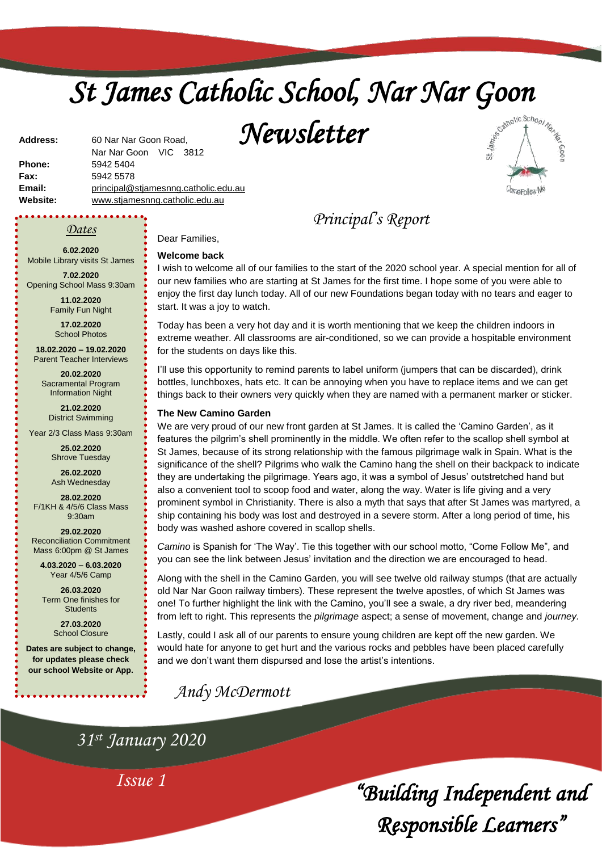# *St James Catholic School, Nar Nar Goon*

*Newsletter* 



**Phone:** 5942 5404 **Fax:** 5942 5578 **Email:** [principal@stjamesnng.catholic.edu.au](mailto:principal@stjames.catholic.edu.au) **Website:** [www.stjamesnng.catholic.edu.au](http://www.stjamesnng.catholic.edu.au/)

Nar Nar Goon VIC 3812

## *Dates*

**Address:** 60 Nar Nar Goon Road,

**6.02.2020** Mobile Library visits St James

**7.02.2020** Opening School Mass 9:30am

> **11.02.2020** Family Fun Night

**17.02.2020** School Photos

**18.02.2020 – 19.02.2020** Parent Teacher Interviews

**20.02.2020** Sacramental Program Information Night

**21.02.2020** District Swimming

Year 2/3 Class Mass 9:30am

**25.02.2020** Shrove Tuesday

**26.02.2020** Ash Wednesday

**28.02.2020** F/1KH & 4/5/6 Class Mass 9:30am

**29.02.2020** Reconciliation Commitment Mass 6:00pm @ St James

**4.03.2020 – 6.03.2020** Year 4/5/6 Camp

**26.03.2020** Term One finishes for **Students** 

> **27.03.2020** School Closure

**Dates are subject to change, for updates please check our school Website or App.**

*Principal's Report*

I wish to welcome all of our families to the start of the 2020 school year. A special mention for all of our new families who are starting at St James for the first time. I hope some of you were able to enjoy the first day lunch today. All of our new Foundations began today with no tears and eager to start. It was a joy to watch.

Today has been a very hot day and it is worth mentioning that we keep the children indoors in extreme weather. All classrooms are air-conditioned, so we can provide a hospitable environment for the students on days like this.

I'll use this opportunity to remind parents to label uniform (jumpers that can be discarded), drink bottles, lunchboxes, hats etc. It can be annoying when you have to replace items and we can get things back to their owners very quickly when they are named with a permanent marker or sticker.

#### **The New Camino Garden**

Dear Families, **Welcome back**

We are very proud of our new front garden at St James. It is called the 'Camino Garden', as it features the pilgrim's shell prominently in the middle. We often refer to the scallop shell symbol at St James, because of its strong relationship with the famous pilgrimage walk in Spain. What is the significance of the shell? Pilgrims who walk the Camino hang the shell on their backpack to indicate they are undertaking the pilgrimage. Years ago, it was a symbol of Jesus' outstretched hand but also a convenient tool to scoop food and water, along the way. Water is life giving and a very prominent symbol in Christianity. There is also a myth that says that after St James was martyred, a ship containing his body was lost and destroyed in a severe storm. After a long period of time, his body was washed ashore covered in scallop shells.

*Camino* is Spanish for 'The Way'. Tie this together with our school motto, "Come Follow Me", and you can see the link between Jesus' invitation and the direction we are encouraged to head.

Along with the shell in the Camino Garden, you will see twelve old railway stumps (that are actually old Nar Nar Goon railway timbers). These represent the twelve apostles, of which St James was one! To further highlight the link with the Camino, you'll see a swale, a dry river bed, meandering from left to right. This represents the *pilgrimage* aspect; a sense of movement, change and *journey.*

Lastly, could I ask all of our parents to ensure young children are kept off the new garden. We would hate for anyone to get hurt and the various rocks and pebbles have been placed carefully and we don't want them dispursed and lose the artist's intentions.

*Andy McDermott*

*31st January 2020*

*Issue 1*

*"Building Independent and Responsible Learners"*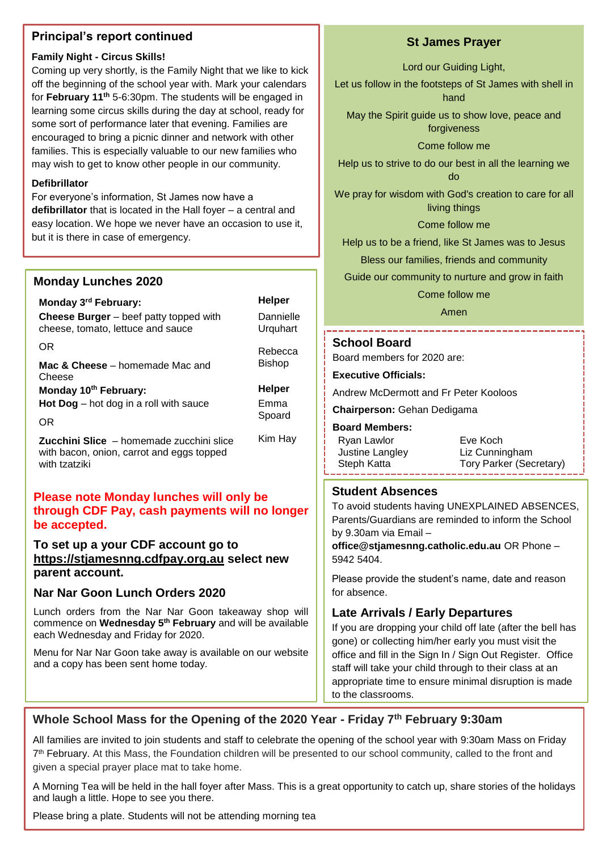## **Principal's report continued**

#### **Family Night - Circus Skills!**

Coming up very shortly, is the Family Night that we like to kick off the beginning of the school year with. Mark your calendars for **February 11th** 5-6:30pm. The students will be engaged in learning some circus skills during the day at school, ready for some sort of performance later that evening. Families are encouraged to bring a picnic dinner and network with other families. This is especially valuable to our new families who may wish to get to know other people in our community.

#### **Defibrillator**

For everyone's information, St James now have a **defibrillator** that is located in the Hall foyer – a central and easy location. We hope we never have an occasion to use it, but it is there in case of emergency.

### **Monday Lunches 2020**

| Monday 3 <sup>rd</sup> February:                                                   | <b>Helper</b>         |
|------------------------------------------------------------------------------------|-----------------------|
| <b>Cheese Burger</b> – beef patty topped with<br>cheese, tomato, lettuce and sauce | Dannielle<br>Urguhart |
| OR                                                                                 | Rebecca               |
| Mac & Cheese – homemade Mac and<br>Cheese                                          | <b>Bishop</b>         |
| Monday 10th February:                                                              | <b>Helper</b>         |
|                                                                                    |                       |
| <b>Hot Dog</b> $-$ hot dog in a roll with sauce                                    | Emma                  |
| OR                                                                                 | Spoard                |

## **Please note Monday lunches will only be through CDF Pay, cash payments will no longer be accepted.**

**To set up a your CDF account go to [https://stjamesnng.cdfpay.org.au](https://stjamesnng.cdfpay.org.au/) select new parent account.**

## **Nar Nar Goon Lunch Orders 2020**

Lunch orders from the Nar Nar Goon takeaway shop will commence on **Wednesday 5th February** and will be available each Wednesday and Friday for 2020.

Menu for Nar Nar Goon take away is available on our website and a copy has been sent home today.

## **St James Prayer**

Lord our Guiding Light,

Let us follow in the footsteps of St James with shell in hand

May the Spirit guide us to show love, peace and forgiveness

Come follow me

Help us to strive to do our best in all the learning we do

We pray for wisdom with God's creation to care for all living things

Come follow me

Help us to be a friend, like St James was to Jesus

Bless our families, friends and community

Guide our community to nurture and grow in faith

Come follow me

Amen

#### **School Board**

Board members for 2020 are:

**Executive Officials:**

Andrew McDermott and Fr Peter Kooloos

**Chairperson:** Gehan Dedigama

#### **Board Members:**

| Ryan Lawlor     | Eve Koch                |
|-----------------|-------------------------|
| Justine Langley | Liz Cunningham          |
| Steph Katta     | Tory Parker (Secretary) |
|                 |                         |

#### **Student Absences**

To avoid students having UNEXPLAINED ABSENCES, Parents/Guardians are reminded to inform the School by 9.30am via Email –

**office@stjamesnng.catholic.edu.au** OR Phone – 5942 5404.

Please provide the student's name, date and reason for absence.

# **Late Arrivals / Early Departures**

If you are dropping your child off late (after the bell has gone) or collecting him/her early you must visit the office and fill in the Sign In / Sign Out Register. Office staff will take your child through to their class at an appropriate time to ensure minimal disruption is made to the classrooms.

# **Whole School Mass for the Opening of the 2020 Year - Friday 7th February 9:30am**

All families are invited to join students and staff to celebrate the opening of the school year with 9:30am Mass on Friday 7<sup>th</sup> February. At this Mass, the Foundation children will be presented to our school community, called to the front and given a special prayer place mat to take home.

A Morning Tea will be held in the hall foyer after Mass. This is a great opportunity to catch up, share stories of the holidays and laugh a little. Hope to see you there.

Please bring a plate. Students will not be attending morning tea